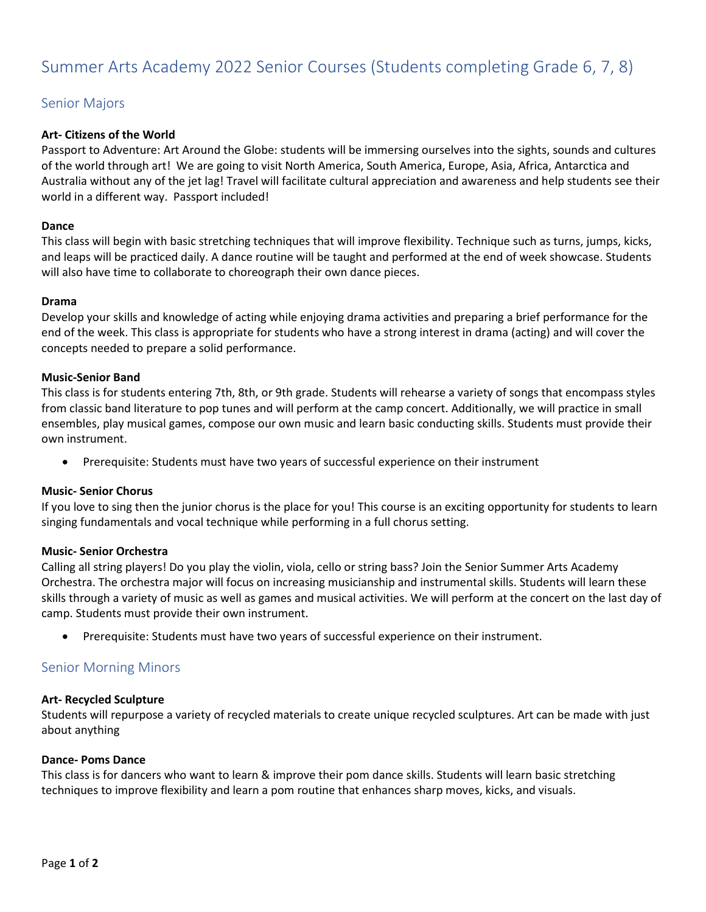# Summer Arts Academy 2022 Senior Courses (Students completing Grade 6, 7, 8)

# Senior Majors

# **Art- Citizens of the World**

Passport to Adventure: Art Around the Globe: students will be immersing ourselves into the sights, sounds and cultures of the world through art! We are going to visit North America, South America, Europe, Asia, Africa, Antarctica and Australia without any of the jet lag! Travel will facilitate cultural appreciation and awareness and help students see their world in a different way. Passport included!

# **Dance**

This class will begin with basic stretching techniques that will improve flexibility. Technique such as turns, jumps, kicks, and leaps will be practiced daily. A dance routine will be taught and performed at the end of week showcase. Students will also have time to collaborate to choreograph their own dance pieces.

# **Drama**

Develop your skills and knowledge of acting while enjoying drama activities and preparing a brief performance for the end of the week. This class is appropriate for students who have a strong interest in drama (acting) and will cover the concepts needed to prepare a solid performance.

#### **Music-Senior Band**

This class is for students entering 7th, 8th, or 9th grade. Students will rehearse a variety of songs that encompass styles from classic band literature to pop tunes and will perform at the camp concert. Additionally, we will practice in small ensembles, play musical games, compose our own music and learn basic conducting skills. Students must provide their own instrument.

• Prerequisite: Students must have two years of successful experience on their instrument

# **Music- Senior Chorus**

If you love to sing then the junior chorus is the place for you! This course is an exciting opportunity for students to learn singing fundamentals and vocal technique while performing in a full chorus setting.

# **Music- Senior Orchestra**

Calling all string players! Do you play the violin, viola, cello or string bass? Join the Senior Summer Arts Academy Orchestra. The orchestra major will focus on increasing musicianship and instrumental skills. Students will learn these skills through a variety of music as well as games and musical activities. We will perform at the concert on the last day of camp. Students must provide their own instrument.

• Prerequisite: Students must have two years of successful experience on their instrument.

# Senior Morning Minors

#### **Art- Recycled Sculpture**

Students will repurpose a variety of recycled materials to create unique recycled sculptures. Art can be made with just about anything

#### **Dance- Poms Dance**

This class is for dancers who want to learn & improve their pom dance skills. Students will learn basic stretching techniques to improve flexibility and learn a pom routine that enhances sharp moves, kicks, and visuals.